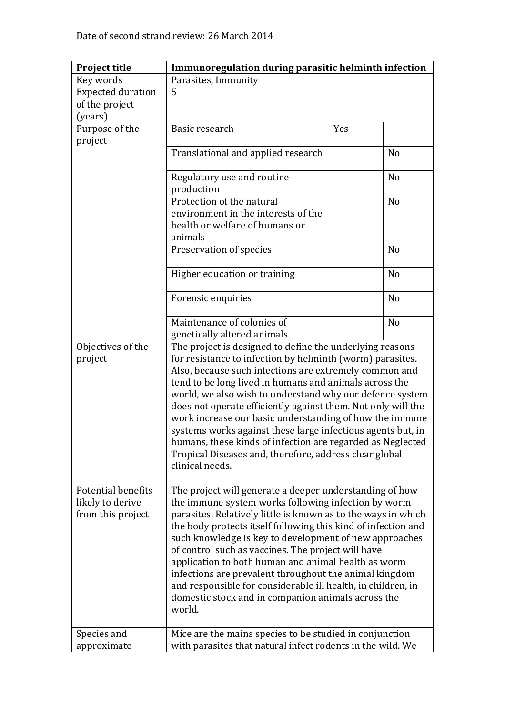| <b>Project title</b>     | Immunoregulation during parasitic helminth infection                                                                  |     |                |
|--------------------------|-----------------------------------------------------------------------------------------------------------------------|-----|----------------|
| Key words                | Parasites, Immunity                                                                                                   |     |                |
| <b>Expected duration</b> | 5                                                                                                                     |     |                |
| of the project           |                                                                                                                       |     |                |
| (years)                  |                                                                                                                       |     |                |
| Purpose of the           | Basic research                                                                                                        | Yes |                |
| project                  |                                                                                                                       |     |                |
|                          | Translational and applied research                                                                                    |     | N <sub>o</sub> |
|                          |                                                                                                                       |     |                |
|                          | Regulatory use and routine                                                                                            |     | N <sub>o</sub> |
|                          | production                                                                                                            |     |                |
|                          | Protection of the natural                                                                                             |     | N <sub>o</sub> |
|                          | environment in the interests of the                                                                                   |     |                |
|                          | health or welfare of humans or                                                                                        |     |                |
|                          | animals                                                                                                               |     |                |
|                          | Preservation of species                                                                                               |     | N <sub>o</sub> |
|                          |                                                                                                                       |     |                |
|                          | Higher education or training                                                                                          |     | N <sub>o</sub> |
|                          |                                                                                                                       |     |                |
|                          | Forensic enquiries                                                                                                    |     | N <sub>o</sub> |
|                          |                                                                                                                       |     |                |
|                          | Maintenance of colonies of                                                                                            |     | N <sub>o</sub> |
|                          | genetically altered animals                                                                                           |     |                |
| Objectives of the        | The project is designed to define the underlying reasons<br>for resistance to infection by helminth (worm) parasites. |     |                |
| project                  |                                                                                                                       |     |                |
|                          | Also, because such infections are extremely common and                                                                |     |                |
|                          | tend to be long lived in humans and animals across the                                                                |     |                |
|                          | world, we also wish to understand why our defence system                                                              |     |                |
|                          | does not operate efficiently against them. Not only will the                                                          |     |                |
|                          | work increase our basic understanding of how the immune                                                               |     |                |
|                          | systems works against these large infectious agents but, in                                                           |     |                |
|                          | humans, these kinds of infection are regarded as Neglected                                                            |     |                |
|                          | Tropical Diseases and, therefore, address clear global                                                                |     |                |
|                          | clinical needs.                                                                                                       |     |                |
|                          |                                                                                                                       |     |                |
| Potential benefits       | The project will generate a deeper understanding of how                                                               |     |                |
| likely to derive         | the immune system works following infection by worm                                                                   |     |                |
| from this project        | parasites. Relatively little is known as to the ways in which                                                         |     |                |
|                          | the body protects itself following this kind of infection and                                                         |     |                |
|                          | such knowledge is key to development of new approaches                                                                |     |                |
|                          | of control such as vaccines. The project will have                                                                    |     |                |
|                          | application to both human and animal health as worm                                                                   |     |                |
|                          | infections are prevalent throughout the animal kingdom                                                                |     |                |
|                          | and responsible for considerable ill health, in children, in                                                          |     |                |
|                          | domestic stock and in companion animals across the                                                                    |     |                |
|                          | world.                                                                                                                |     |                |
|                          |                                                                                                                       |     |                |
| Species and              | Mice are the mains species to be studied in conjunction                                                               |     |                |
| approximate              | with parasites that natural infect rodents in the wild. We                                                            |     |                |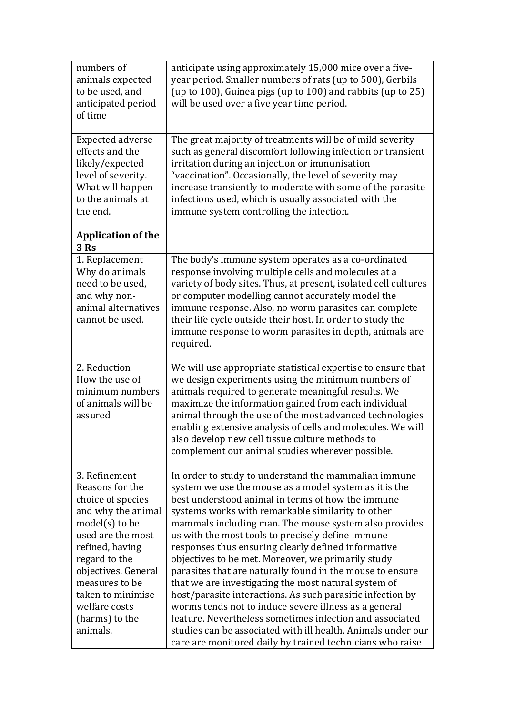| numbers of<br>animals expected<br>to be used, and<br>anticipated period<br>of time                                                                                                                                                                                    | anticipate using approximately 15,000 mice over a five-<br>year period. Smaller numbers of rats (up to 500), Gerbils<br>(up to 100), Guinea pigs (up to 100) and rabbits (up to 25)<br>will be used over a five year time period.                                                                                                                                                                                                                                                                                                                                                                                                                                                                                                                                                                                                                                                        |  |
|-----------------------------------------------------------------------------------------------------------------------------------------------------------------------------------------------------------------------------------------------------------------------|------------------------------------------------------------------------------------------------------------------------------------------------------------------------------------------------------------------------------------------------------------------------------------------------------------------------------------------------------------------------------------------------------------------------------------------------------------------------------------------------------------------------------------------------------------------------------------------------------------------------------------------------------------------------------------------------------------------------------------------------------------------------------------------------------------------------------------------------------------------------------------------|--|
| <b>Expected adverse</b><br>effects and the<br>likely/expected<br>level of severity.<br>What will happen<br>to the animals at<br>the end.                                                                                                                              | The great majority of treatments will be of mild severity<br>such as general discomfort following infection or transient<br>irritation during an injection or immunisation<br>"vaccination". Occasionally, the level of severity may<br>increase transiently to moderate with some of the parasite<br>infections used, which is usually associated with the<br>immune system controlling the infection.                                                                                                                                                                                                                                                                                                                                                                                                                                                                                  |  |
| <b>Application of the</b><br>3 Rs                                                                                                                                                                                                                                     |                                                                                                                                                                                                                                                                                                                                                                                                                                                                                                                                                                                                                                                                                                                                                                                                                                                                                          |  |
| 1. Replacement<br>Why do animals<br>need to be used,<br>and why non-<br>animal alternatives<br>cannot be used.                                                                                                                                                        | The body's immune system operates as a co-ordinated<br>response involving multiple cells and molecules at a<br>variety of body sites. Thus, at present, isolated cell cultures<br>or computer modelling cannot accurately model the<br>immune response. Also, no worm parasites can complete<br>their life cycle outside their host. In order to study the<br>immune response to worm parasites in depth, animals are<br>required.                                                                                                                                                                                                                                                                                                                                                                                                                                                       |  |
| 2. Reduction<br>How the use of<br>minimum numbers<br>of animals will be<br>assured                                                                                                                                                                                    | We will use appropriate statistical expertise to ensure that<br>we design experiments using the minimum numbers of<br>animals required to generate meaningful results. We<br>maximize the information gained from each individual<br>animal through the use of the most advanced technologies<br>enabling extensive analysis of cells and molecules. We will<br>also develop new cell tissue culture methods to<br>complement our animal studies wherever possible.                                                                                                                                                                                                                                                                                                                                                                                                                      |  |
| 3. Refinement<br>Reasons for the<br>choice of species<br>and why the animal<br>$model(s)$ to be<br>used are the most<br>refined, having<br>regard to the<br>objectives. General<br>measures to be<br>taken to minimise<br>welfare costs<br>(harms) to the<br>animals. | In order to study to understand the mammalian immune<br>system we use the mouse as a model system as it is the<br>best understood animal in terms of how the immune<br>systems works with remarkable similarity to other<br>mammals including man. The mouse system also provides<br>us with the most tools to precisely define immune<br>responses thus ensuring clearly defined informative<br>objectives to be met. Moreover, we primarily study<br>parasites that are naturally found in the mouse to ensure<br>that we are investigating the most natural system of<br>host/parasite interactions. As such parasitic infection by<br>worms tends not to induce severe illness as a general<br>feature. Nevertheless sometimes infection and associated<br>studies can be associated with ill health. Animals under our<br>care are monitored daily by trained technicians who raise |  |